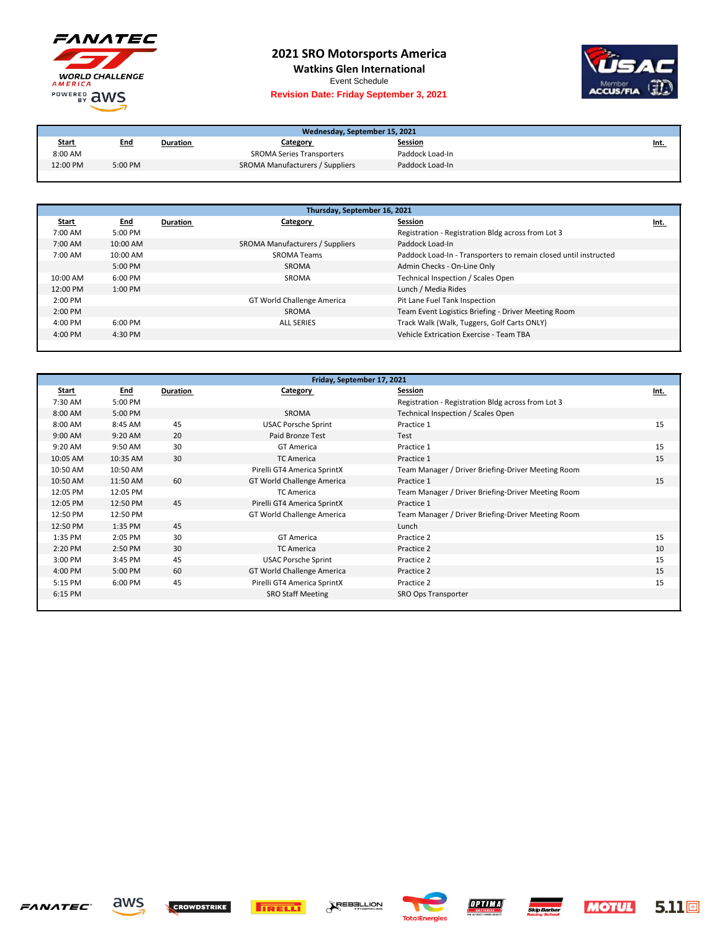

## **2021 SRO Motorsports America**

**Watkins Glen International**

Event Schedule

## **Revision Date: Friday September 3, 2021**



| Wednesday, September 15, 2021 |            |          |                                  |                 |             |
|-------------------------------|------------|----------|----------------------------------|-----------------|-------------|
| <b>Start</b>                  | <u>End</u> | Duration | Category                         | <b>Session</b>  | <u>Int.</u> |
| 8:00 AM                       |            |          | <b>SROMA Series Transporters</b> | Paddock Load-In |             |
| 12:00 PM                      | 5:00 PM    |          | SROMA Manufacturers / Suppliers  | Paddock Load-In |             |

| Thursday, September 16, 2021 |            |          |                                 |                                                                  |      |
|------------------------------|------------|----------|---------------------------------|------------------------------------------------------------------|------|
| <b>Start</b>                 | <u>End</u> | Duration | Category                        | Session                                                          | Int. |
| 7:00 AM                      | 5:00 PM    |          |                                 | Registration - Registration Bldg across from Lot 3               |      |
| 7:00 AM                      | 10:00 AM   |          | SROMA Manufacturers / Suppliers | Paddock Load-In                                                  |      |
| 7:00 AM                      | 10:00 AM   |          | <b>SROMA Teams</b>              | Paddock Load-In - Transporters to remain closed until instructed |      |
|                              | $5:00$ PM  |          | SROMA                           | Admin Checks - On-Line Only                                      |      |
| 10:00 AM                     | $6:00$ PM  |          | SROMA                           | Technical Inspection / Scales Open                               |      |
| 12:00 PM                     | $1:00$ PM  |          |                                 | Lunch / Media Rides                                              |      |
| $2:00$ PM                    |            |          | GT World Challenge America      | Pit Lane Fuel Tank Inspection                                    |      |
| 2:00 PM                      |            |          | SROMA                           | Team Event Logistics Briefing - Driver Meeting Room              |      |
| $4:00 \text{ PM}$            | $6:00$ PM  |          | <b>ALL SERIES</b>               | Track Walk (Walk, Tuggers, Golf Carts ONLY)                      |      |
| $4:00 \text{ PM}$            | 4:30 PM    |          |                                 | Vehicle Extrication Exercise - Team TBA                          |      |
|                              |            |          |                                 |                                                                  |      |

| Friday, September 17, 2021 |            |          |                                   |                                                    |      |
|----------------------------|------------|----------|-----------------------------------|----------------------------------------------------|------|
| Start                      | <b>End</b> | Duration | <b>Category</b>                   | Session                                            | Int. |
| 7:30 AM                    | 5:00 PM    |          |                                   | Registration - Registration Bldg across from Lot 3 |      |
| 8:00 AM                    | 5:00 PM    |          | <b>SROMA</b>                      | Technical Inspection / Scales Open                 |      |
| 8:00 AM                    | 8:45 AM    | 45       | <b>USAC Porsche Sprint</b>        | Practice 1                                         | 15   |
| 9:00 AM                    | 9:20 AM    | 20       | Paid Bronze Test                  | Test                                               |      |
| 9:20 AM                    | 9:50 AM    | 30       | <b>GT</b> America                 | Practice 1                                         | 15   |
| 10:05 AM                   | 10:35 AM   | 30       | <b>TC America</b>                 | Practice 1                                         | 15   |
| 10:50 AM                   | 10:50 AM   |          | Pirelli GT4 America SprintX       | Team Manager / Driver Briefing-Driver Meeting Room |      |
| 10:50 AM                   | 11:50 AM   | 60       | <b>GT World Challenge America</b> | Practice 1                                         | 15   |
| 12:05 PM                   | 12:05 PM   |          | <b>TC America</b>                 | Team Manager / Driver Briefing-Driver Meeting Room |      |
| 12:05 PM                   | 12:50 PM   | 45       | Pirelli GT4 America SprintX       | Practice 1                                         |      |
| 12:50 PM                   | 12:50 PM   |          | GT World Challenge America        | Team Manager / Driver Briefing-Driver Meeting Room |      |
| 12:50 PM                   | 1:35 PM    | 45       |                                   | Lunch                                              |      |
| 1:35 PM                    | 2:05 PM    | 30       | <b>GT America</b>                 | Practice 2                                         | 15   |
| 2:20 PM                    | 2:50 PM    | 30       | <b>TC America</b>                 | Practice 2                                         | 10   |
| 3:00 PM                    | 3:45 PM    | 45       | <b>USAC Porsche Sprint</b>        | Practice 2                                         | 15   |
| 4:00 PM                    | 5:00 PM    | 60       | <b>GT World Challenge America</b> | Practice 2                                         | 15   |
| 5:15 PM                    | 6:00 PM    | 45       | Pirelli GT4 America SprintX       | Practice 2                                         | 15   |
| 6:15 PM                    |            |          | <b>SRO Staff Meeting</b>          | SRO Ops Transporter                                |      |
|                            |            |          |                                   |                                                    |      |









**AREBELLION**